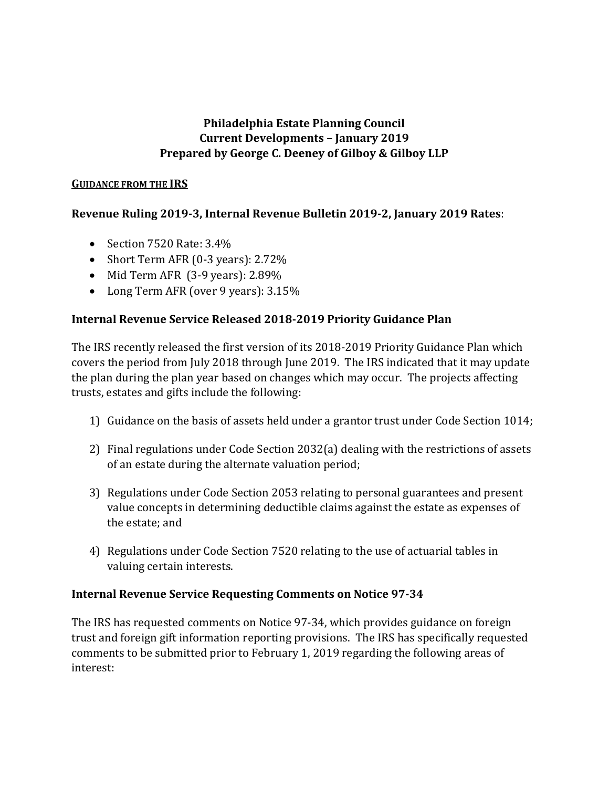# **Philadelphia Estate Planning Council Current Developments – January 2019 Prepared by George C. Deeney of Gilboy & Gilboy LLP**

#### **GUIDANCE FROM THE IRS**

## **Revenue Ruling 2019-3, Internal Revenue Bulletin 2019-2, January 2019 Rates**:

- Section 7520 Rate: 3.4%
- Short Term AFR (0-3 years): 2.72%
- Mid Term AFR (3-9 years): 2.89%
- Long Term AFR (over 9 years):  $3.15\%$

## **Internal Revenue Service Released 2018-2019 Priority Guidance Plan**

The IRS recently released the first version of its 2018-2019 Priority Guidance Plan which covers the period from July 2018 through June 2019. The IRS indicated that it may update the plan during the plan year based on changes which may occur. The projects affecting trusts, estates and gifts include the following:

- 1) Guidance on the basis of assets held under a grantor trust under Code Section 1014;
- 2) Final regulations under Code Section 2032(a) dealing with the restrictions of assets of an estate during the alternate valuation period;
- 3) Regulations under Code Section 2053 relating to personal guarantees and present value concepts in determining deductible claims against the estate as expenses of the estate; and
- 4) Regulations under Code Section 7520 relating to the use of actuarial tables in valuing certain interests.

## **Internal Revenue Service Requesting Comments on Notice 97-34**

The IRS has requested comments on Notice 97-34, which provides guidance on foreign trust and foreign gift information reporting provisions. The IRS has specifically requested comments to be submitted prior to February 1, 2019 regarding the following areas of interest: